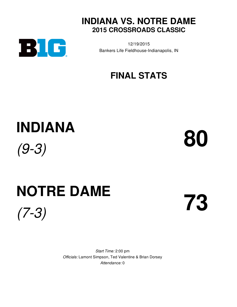



12/19/2015 Bankers Life Fieldhouse-Indianapolis, IN

# **FINAL STATS**

# **INDIANA** *(9-3)* **80**

# **NOTRE DAME** *(7-3)* **73**

*Start Time:* 2:00 pm *Officials:* Lamont Simpson, Ted Valentine & Brian Dorsey *Attendance:* 0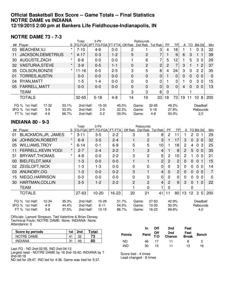#### **Official Basketball Box Score -- Game Totals -- Final Statistics NOTRE DAME vs INDIANA 12/19/2015 2:00 pm at Bankers Life Fieldhouse-Indianapolis, IN**

#### **NOTRE DAME 73 - 7-3**

|    |                                                                        |         | Total                  | 3-Ptr                           |         |                   | Rebounds       |                     |                |                |    |              |                      |             |
|----|------------------------------------------------------------------------|---------|------------------------|---------------------------------|---------|-------------------|----------------|---------------------|----------------|----------------|----|--------------|----------------------|-------------|
|    | ## Player                                                              |         |                        | <b>FG-FGA 3PT FG-FGA FT-FTA</b> |         | Off Reb           | Def Reb        | Tot Reb             | <b>PF</b>      | <b>TPI</b>     | A  | TO.          | <b>Blk Stl</b>       | Min         |
| 03 | BEACHEM, VJ                                                            | $\star$ | $7 - 10$               | $4 - 6$                         | $0-0$   | 2                 |                | 3                   | 4              | 18             |    |              | 0<br>3               | 32          |
| 11 | <b>JACKSON, DEMETRIUS</b>                                              | $\star$ | $4 - 17$               | $0 - 3$                         | $1-2$   | 5                 | $\overline{2}$ | $\overline{7}$      |                | 9              | 6  | 3            | 1                    | 39          |
| 30 | AUGUSTE, ZACH                                                          | $\star$ | $6 - 8$                | $0-0$                           | $0-0$   |                   | 6              | 7                   | 5              | 12             |    | 5            | 3 0                  | 29          |
| 32 | <b>VASTURIA, STEVE</b>                                                 | $\star$ | $3-9$                  | $0 - 5$                         | $1 - 1$ | $\mathbf 0$       | $\overline{c}$ | 2 <sub>l</sub>      | $\overline{2}$ | 7              | 3  | 1            | 2                    | 37          |
| 35 | COLSON, BONZIE                                                         | $\star$ | $11 - 16$              | $0-0$                           | $2 - 5$ | 3                 | 5              | 8                   | 4              | 24             | 3  | $\mathbf{0}$ | 2 <sub>2</sub>       | 35          |
| 01 | <b>TORRES, AUSTIN</b>                                                  |         | $0-0$                  | $0-0$                           | $0 - 0$ | $\mathbf 0$       | 0              | $\overline{0}$      |                | $\mathbf 0$    | 0  | $\mathbf 0$  | 0 <sub>0</sub>       | $\mathbf 0$ |
| 04 | RYAN, MATT                                                             |         | 1-5                    | $1 - 4$                         | $0 - 0$ | $\mathbf 0$       | 0              | 0                   |                | 3              |    | 0            | 3 <sub>0</sub>       | 15          |
| 05 | FARRELL, MATT                                                          |         | $0 - 0$                | $0 - 0$                         | $0 - 0$ | $\mathbf 0$       | 0              | $\mathbf 0$         | $\mathbf 0$    | $\Omega$       | 4  | $\Omega$     | 0 <sub>0</sub>       | 13          |
|    | <b>TEAM</b>                                                            |         |                        |                                 |         | 3                 | 3              | 6                   | $\Omega$       |                |    |              |                      |             |
|    | <b>TOTALS</b>                                                          |         | $32 - 65$              | $5 - 18$                        | $4 - 8$ | 14                | 19             | 33                  | 18             | 73             | 19 | 11           | 8 <sup>1</sup><br>10 | 200         |
|    | FG %<br>$17-32$<br>1st Half:<br>53.1%                                  |         | 2nd Half:              | $15 - 33$                       |         | 45.5%             | Game:          | $32 - 65$           |                | 49.2%          |    |              | Deadball             |             |
|    | 3FG %<br>1st Half:<br>$3-9$<br>33.3%<br>FT % 1st Half:<br>4-6<br>66.7% |         | 2nd Half:<br>2nd Half: | $2-9$<br>$0 - 2$                |         | 22.2%<br>$00.0\%$ | Game:<br>Game: | $5 - 18$<br>$4 - 8$ |                | 27.8%<br>50.0% |    |              | Rebounds<br>2,0      |             |

#### **INDIANA 80 - 9-3**

|                 |                              |         | Total     | 3-Ptr                            |         |             | Rebounds       |                |                |                 |                |          |                     |                |
|-----------------|------------------------------|---------|-----------|----------------------------------|---------|-------------|----------------|----------------|----------------|-----------------|----------------|----------|---------------------|----------------|
|                 | ## Player                    |         |           | FG-FGA 3PT FG-FGA FT-FTA Off Reb |         |             | Def Reb        | Tot Reb        | <b>PF</b>      | TPI             | A              |          | <b>TO BIK Stll</b>  | Min            |
| 01              | BLACKMON, JR, JAMES          | $\star$ | $3 - 11$  | $3-5$                            | $2 - 2$ | 3           | 5              | 8              | $\mathbf{2}$   |                 |                | 2        | 0                   | 29             |
| 04              | <b>JOHNSON, ROBERT</b>       | $\star$ | $6 - 9$   | $3-5$                            | $2 - 4$ |             | 2              | 3              |                | 17              | 3              | $\Omega$ | 2 <sub>0</sub>      | 32             |
| 05              | <b>WILLIAMS, TROY</b>        | $\star$ | $6 - 14$  | $0 - 1$                          | $6-9$   | 5           | 5              | 10             |                | 18              | 2              | 4        | $\Omega$<br>3       | 25             |
| 11              | FERRELL, KEVIN YOGI          | $\ast$  | $2 - 7$   | $2 - 4$                          | $2 - 2$ |             | 3              | $\overline{4}$ |                | 8               | $\overline{2}$ | 5        | 0 <sub>0</sub>      | 35             |
| 31              | BRYANT, THOMAS               | $\star$ | $4 - 8$   | $0-0$                            | $2 - 2$ | 3           | $\overline{c}$ | 5              | 2              | 10              | 2              |          | 0 <sub>0</sub>      | 21             |
| 00 <sup>°</sup> | BIELFELDT, MAX               |         | 1-3       | $0 - 0$                          | $0-0$   |             | 1              | $\overline{2}$ | 2              | $\overline{2}$  | $\Omega$       | $\Omega$ | 0 <sub>1</sub>      | 15             |
| 02              | ZEISLOFT, NICK               |         | $1-3$     | $1 - 3$                          | $0-0$   | $\mathbf 0$ | 0              | 0              | $\Omega$       | 3               | 0              | $\Omega$ | 0 <sub>0</sub>      | 14             |
| 03              | ANUNOBY, OG                  |         | 1-3       | $0 - 0$                          | $0 - 2$ | 3           | 1              | $\overline{4}$ | $\Omega$       | $\overline{2}$  | $\Omega$       | $\Omega$ | 0 <sub>0</sub>      | $\overline{7}$ |
| 15              | NIEGO, HARRISON              |         | $0-0$     | $0-0$                            | $0-0$   | $\mathbf 0$ | 0              | 0              | $\mathbf{0}$   | 0               | 0              | 0        | 0 <sub>0</sub>      | 0              |
| 30              | <b>HARTMAN, COLLIN</b>       |         | $3-5$     | $1-2$                            | $2 - 2$ | 2           | $\overline{c}$ | $\overline{4}$ | $\overline{2}$ | 9               | 3              | $\Omega$ | $\Omega$            | 22             |
|                 | TEAM                         |         |           |                                  |         |             | 0              | 1              | 0              |                 |                | 0        |                     |                |
|                 | <b>TOTALS</b>                |         | $27 - 63$ | 10-20                            | 16-23   | 20          | 21             | 41             | 11             | 80 <sub>1</sub> | 13             | 12       | 3<br>5 <sup>1</sup> | 200            |
|                 | FG % 1st Half:<br>$12 - 34$  | 35.3%   | 2nd Half: | $15 - 29$                        | 51.7%   |             | Game:          | $27 - 63$      |                | 42.9%           |                |          | Deadball            |                |
| 3FG %           | $4 - 9$<br>1st Half:         | 44.4%   | 2nd Half: | $6 - 11$                         | 54.5%   |             | Game:          | 10-20          |                | 50.0%           |                |          | Rebounds            |                |
|                 | $3 - 8$<br>1st Half:<br>FT % | 37.5%   | 2nd Half: | $13 - 15$                        | 86.7%   |             | Game:          | 16-23          |                | 69.6%           |                |          | 4,0                 |                |

Officials: Lamont Simpson, Ted Valentine & Brian Dorsey Technical Fouls: NOTRE DAME- None. INDIANA- None. Attendance: 0

| Score by periods | 1st | 2nd | ⊤otal |
|------------------|-----|-----|-------|
| NOTRE DAME       |     |     | 73    |
| INDIANA          | O-1 | 49  | 80    |

Last FG - ND 2nd-02:55, IND 2nd-04:13.

Largest lead - NOTRE DAME by 16 2nd-16:42; INDIANA by 7 2nd-00:18

ND led for 29:47. IND led for 4:36. Game was tied for 5:37.

| <b>Points</b> | In. | Off. | 2nd<br>Paint Off 2nd Fast<br>T/O Chance Break | Fast | <b>Bench</b> |
|---------------|-----|------|-----------------------------------------------|------|--------------|
| <b>ND</b>     | 46. | -17  | -11                                           | 8    | 3            |
| <b>IND</b>    | 30  | 15.  | 11                                            | 13   | 16           |

Score tied - 4 times

Lead changed - 8 times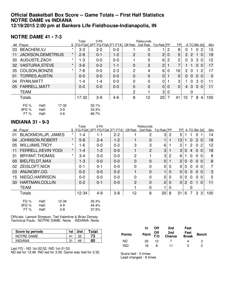### **Official Basketball Box Score -- Game Totals -- First Half Statistics NOTRE DAME vs INDIANA 12/19/2015 2:00 pm at Bankers Life Fieldhouse-Indianapolis, IN**

#### **NOTRE DAME 41 • 7-3**

|    |                    |                           |          | Total   | 3-Ptr                            |         |                | Rebounds       |                |                            |              |                      |                |             |
|----|--------------------|---------------------------|----------|---------|----------------------------------|---------|----------------|----------------|----------------|----------------------------|--------------|----------------------|----------------|-------------|
|    | ## Player          |                           |          |         | S   FG-FGA   3PT FG-FGA   FT-FTA |         | Off Reb        | Def Reb        | Tot Reb PF     | <b>TPI</b>                 |              |                      | A TO BIK Stl   | Min         |
| 03 | <b>BEACHEM, VJ</b> |                           | $\star$  | $3-3$   | $2 - 2$                          | $0-0$   |                | 0              |                | 8<br>2                     | 0            |                      | 0<br>2         | 13          |
| 11 |                    | <b>JACKSON, DEMETRIUS</b> | $\star$  | $2 - 8$ | $0 - 1$                          | 1-2     | $\overline{2}$ | $\mathbf 0$    | $\mathbf{2}$   | 5<br>$\mathbf 0$           | $\mathbf{2}$ | $\mathbf{2}^{\circ}$ | 1 <sub>0</sub> | 19          |
| 30 | AUGUSTE, ZACH      |                           | $^\star$ | $1 - 3$ | $0-0$                            | $0-0$   |                | 5              | 6              | 2<br>2                     | 0            | 3                    | 3<br>- 0       | 12          |
| 32 |                    | <b>VASTURIA, STEVE</b>    | $\star$  | $3-6$   | $0 - 2$                          | 1-1     | $\mathbf 0$    | $\overline{c}$ | $\overline{c}$ | 7                          |              |                      | 0 <sub>0</sub> | 17          |
| 35 |                    | COLSON, BONZIE            | $\star$  | 7-8     | $0-0$                            | $2 - 3$ | $\overline{2}$ | 4              | 6              | 16<br>0                    | 2            | $\Omega$             | 2              | 17          |
| 01 |                    | <b>TORRES, AUSTIN</b>     |          | $0 - 0$ | $0 - 0$                          | $0 - 0$ | $\mathbf 0$    | $\mathbf 0$    | $\mathbf 0$    | $\mathbf 0$                | 0            | $\mathbf 0$          | 0 <sub>0</sub> | $\mathbf 0$ |
| 04 | RYAN, MATT         |                           |          | 1-4     | 1-4                              | $0-0$   | $\mathbf 0$    | 0              | 0              | 3                          |              | $\Omega$             | 3 <sub>0</sub> | 11          |
| 05 | FARRELL, MATT      |                           |          | $0 - 0$ | $0 - 0$                          | $0 - 0$ | $\mathbf 0$    | $\mathbf 0$    | $\mathbf 0$    | $\overline{0}$<br>$\Omega$ | 4            | $\mathbf{0}$         | 0 <sub>0</sub> | 11          |
|    | <b>TEAM</b>        |                           |          |         |                                  |         | $\overline{2}$ |                | 3              | 0                          |              | 0                    |                |             |
|    | Totals             |                           |          | 17-32   | $3-9$                            | $4-6$   | 8              | 12             | $20$   7       | 41                         | 10           | 7                    | 8<br>4         | 100         |
|    | FG %               | Half:                     | 17-32    |         | 53.1%                            |         |                |                |                |                            |              |                      |                |             |
|    | 3FG %              | Half:                     | $3-9$    |         | 33.3%                            |         |                |                |                |                            |              |                      |                |             |
|    | FT%                | Half:                     | $4-6$    |         | 66.7%                            |         |                |                |                |                            |              |                      |                |             |

#### **INDIANA 31 • 9-3**

|    |                                   |          | Total   | 3-Ptr                    |         |                | Rebounds       |                |              |                |                      |                |                 |          |     |
|----|-----------------------------------|----------|---------|--------------------------|---------|----------------|----------------|----------------|--------------|----------------|----------------------|----------------|-----------------|----------|-----|
|    | ## Player                         | S        |         | FG-FGA 3PT FG-FGA FT-FTA |         | Off Reb        | Def Reb        | Tot Reb PF     |              |                |                      |                | TP A TO BIK Stl |          | Min |
| 01 | <b>BLACKMON, JR, JAMES</b>        | $\star$  | 1-4     | $1 - 1$                  | $2 - 2$ |                | 2              | 3              | 2            | 5              |                      | 1.             | $\mathbf{0}$    |          | 14  |
| 04 | <b>JOHNSON, ROBERT</b>            | $\star$  | $5 - 8$ | $2 - 4$                  | $1 - 2$ | 1              | $\Omega$       |                |              | 13             |                      | $\Omega$       | 2 <sub>0</sub>  |          | 18  |
| 05 | <b>WILLIAMS, TROY</b>             | $\star$  | $1 - 6$ | $0-0$                    | $0 - 2$ | 3              | 3              | 6              |              | $\mathbf{2}$   |                      | $\overline{2}$ | $\mathbf{0}$    | -2       | 12  |
| 11 | FERRELL, KEVIN YOGI               | $^\star$ | 1-4     | $1 - 2$                  | $0-0$   |                | $\overline{2}$ | 3              |              | 3              | 0                    | 4              | $\overline{0}$  | $\Omega$ | 18  |
| 31 | BRYANT, THOMAS                    | $\star$  | $3 - 4$ | $0-0$                    | $0-0$   | $\overline{2}$ |                | 3              | 2            | 6              |                      | $\mathbf{0}$   | 0 <sub>0</sub>  |          | 9   |
| 00 | BIELFELDT, MAX                    |          | $1 - 3$ | $0-0$                    | $0-0$   | 0              | $\mathbf 0$    | $\mathbf 0$    |              | $\overline{2}$ | 0                    | $\overline{0}$ | 0 <sub>0</sub>  |          | 8   |
| 02 | <b>ZEISLOFT, NICK</b>             |          | $0 - 1$ | $0 - 1$                  | $0-0$   | 0              | 0              | $\mathbf 0$    | $\Omega$     | 0              | 0                    | $\mathbf{0}$   | $\Omega$        | $\Omega$ | 7   |
| 03 | ANUNOBY, OG                       |          | $0 - 2$ | $0-0$                    | $0 - 2$ | 1              | $\mathbf 0$    |                | $\Omega$     | 0              | 0                    | $\mathbf{0}$   | 0 <sub>0</sub>  |          | 3   |
| 15 | NIEGO, HARRISON                   |          | $0-0$   | $0-0$                    | $0-0$   | 0              | 0              | 0              | $\mathbf{0}$ | $\overline{0}$ | 0                    | $\mathbf{0}$   | $\mathbf{0}$    | $\Omega$ | 0   |
| 30 | HARTMAN, COLLIN                   |          | $0 - 2$ | $0 - 1$                  | $0-0$   | $\overline{2}$ | $\mathbf 0$    | $\overline{2}$ | $\mathbf 0$  | $\overline{0}$ | $\mathbf{2}^{\circ}$ | $\overline{0}$ | 1               | $\Omega$ | 11  |
|    | <b>TEAM</b>                       |          |         |                          |         |                | 0              |                | $\Omega$     |                |                      | 0              |                 |          |     |
|    | <b>Totals</b>                     |          | 12-34   | $4 - 9$                  | $3 - 8$ | 12             | 8              | 20             | 8            | 31             | 6                    | $\overline{7}$ | 3               | 3        | 100 |
|    | <b>FG %</b><br>Half:<br>$12 - 34$ |          |         | 35.3%                    |         |                |                |                |              |                |                      |                |                 |          |     |
|    | 3FG %<br>$4 - 9$<br>Half:         |          |         | 44.4%                    |         |                |                |                |              |                |                      |                |                 |          |     |
|    | FT%<br>Half:<br>$3 - 8$           |          |         | 37.5%                    |         |                |                |                |              |                |                      |                |                 |          |     |

Officials: Lamont Simpson, Ted Valentine & Brian Dorsey Technical Fouls: NOTRE DAME- None. INDIANA- None.

| Score by periods | 1st | 2nd | ™otal |
|------------------|-----|-----|-------|
| NOTRE DAME       |     |     | 73    |
| <b>INDIANA</b>   | n.  | 49  | 80    |

Last FG - ND 1st-02:52, IND 1st-01:53.

ND led for 13:49. IND led for 3:39. Game was tied for 2:32.

|               | <u>In</u> | <b>Off</b> | 2nd                                    | Fast |              |
|---------------|-----------|------------|----------------------------------------|------|--------------|
| <b>Points</b> |           |            | Paint Off 2nd Fast<br>T/O Chance Break |      | <b>Bench</b> |
| <b>ND</b>     | 20.       | 12.        |                                        |      | 3            |
| <b>IND</b>    | 16        | 8          | 11                                     | ٠h   |              |

Score tied - 0 times Lead changed - 6 times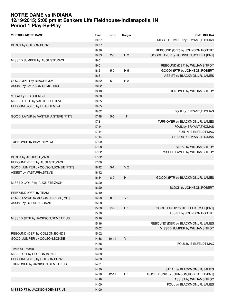# **NOTRE DAME vs INDIANA 12/19/2015; 2:00 pm at Bankers Life Fieldhouse-Indianapolis, IN Period 1 Play-By-Play**

| <b>VISITORS: NOTRE DAME</b>          | <b>Time</b> | <b>Score</b> | Margin         | <b>HOME: INDIANA</b>                   |
|--------------------------------------|-------------|--------------|----------------|----------------------------------------|
|                                      | 19:37       |              |                | MISSED JUMPER by BRYANT, THOMAS        |
| BLOCK by COLSON, BONZIE              | 19:37       |              |                |                                        |
|                                      | 19:36       |              |                | REBOUND (OFF) by JOHNSON, ROBERT       |
|                                      | 19:33       | $2 - 0$      | H <sub>2</sub> | GOOD! LAYUP by JOHNSON, ROBERT [PNT]   |
| MISSED JUMPER by AUGUSTE, ZACH       | 19:01       |              |                |                                        |
|                                      | 19:01       |              |                | REBOUND (DEF) by WILLIAMS, TROY        |
|                                      | 18:51       | $5-0$        | H <sub>5</sub> | GOOD! 3PTR by JOHNSON, ROBERT          |
|                                      | 18:51       |              |                | ASSIST by BLACKMON, JR, JAMES          |
| GOOD! 3PTR by BEACHEM, VJ            | 18:32       | $5-3$        | H <sub>2</sub> |                                        |
| ASSIST by JACKSON, DEMETRIUS         | 18:32       |              |                |                                        |
|                                      | 18:10       |              |                | TURNOVER by WILLIAMS, TROY             |
| STEAL by BEACHEM, VJ                 | 18:08       |              |                |                                        |
| MISSED 3PTR by VASTURIA, STEVE       | 18:05       |              |                |                                        |
| REBOUND (OFF) by BEACHEM, VJ         | 18:05       |              |                |                                        |
|                                      | 18:02       |              |                | FOUL by BRYANT, THOMAS                 |
|                                      | 17:48       | $5-5$        | T              |                                        |
| GOOD! LAYUP by VASTURIA, STEVE [PNT] |             |              |                | TURNOVER by BLACKMON, JR, JAMES        |
|                                      | 17:31       |              |                |                                        |
|                                      | 17:14       |              |                | FOUL by BRYANT, THOMAS                 |
|                                      | 17:14       |              |                | SUB IN: BIELFELDT, MAX                 |
|                                      | 17:14       |              |                | SUB OUT: BRYANT, THOMAS                |
| TURNOVER by BEACHEM, VJ              | 17:09       |              |                |                                        |
|                                      | 17:08       |              |                | STEAL by WILLIAMS, TROY                |
|                                      | 17:02       |              |                | MISSED LAYUP by WILLIAMS, TROY         |
| BLOCK by AUGUSTE, ZACH               | 17:02       |              |                |                                        |
| REBOUND (DEF) by AUGUSTE, ZACH       | 17:00       |              |                |                                        |
| GOOD! JUMPER by COLSON, BONZIE [PNT] | 16:42       | $5 - 7$      | V <sub>2</sub> |                                        |
| ASSIST by VASTURIA, STEVE            | 16:42       |              |                |                                        |
|                                      | 16:34       | $8 - 7$      | H <sub>1</sub> | GOOD! 3PTR by BLACKMON, JR, JAMES      |
| MISSED LAYUP by AUGUSTE, ZACH        | 16:20       |              |                |                                        |
|                                      | 16:20       |              |                | BLOCK by JOHNSON, ROBERT               |
| REBOUND (OFF) by TEAM                | 16:19       |              |                |                                        |
| GOOD! LAYUP by AUGUSTE, ZACH [PNT]   | 16:08       | $8-9$        | V <sub>1</sub> |                                        |
| ASSIST by COLSON, BONZIE             | 16:08       |              |                |                                        |
|                                      | 15:38       | $10-9$       | H 1            | GOOD! LAYUP by BIELFELDT, MAX [PNT]    |
|                                      | 15:38       |              |                | ASSIST by JOHNSON, ROBERT              |
| MISSED 3PTR by JACKSON, DEMETRIUS    | 15:16       |              |                |                                        |
|                                      | 15:16       |              |                | REBOUND (DEF) by BLACKMON, JR, JAMES   |
|                                      | 15:02       |              |                | MISSED JUMPER by WILLIAMS, TROY        |
| REBOUND (DEF) by COLSON, BONZIE      | 15:02       |              |                |                                        |
| GOOD! JUMPER by COLSON, BONZIE       | 14:38       | $10 - 11$    | V <sub>1</sub> |                                        |
|                                      | 14:38       |              |                | FOUL by BIELFELDT, MAX                 |
| TIMEOUT media                        | 14:38       |              |                |                                        |
| MISSED FT by COLSON, BONZIE          | 14:38       |              |                |                                        |
| REBOUND (OFF) by COLSON, BONZIE      | 14:38       |              |                |                                        |
| TURNOVER by JACKSON, DEMETRIUS       | 14:31       |              |                |                                        |
|                                      | 14:30       |              |                |                                        |
|                                      | 14:28       |              |                | STEAL by BLACKMON, JR, JAMES           |
|                                      |             | $12 - 11$    | H <sub>1</sub> | GOOD! DUNK by JOHNSON, ROBERT [FB/PNT] |
|                                      | 14:28       |              |                | ASSIST by WILLIAMS, TROY               |
|                                      | 14:00       |              |                | FOUL by BLACKMON, JR, JAMES            |
| MISSED FT by JACKSON, DEMETRIUS      | 14:00       |              |                |                                        |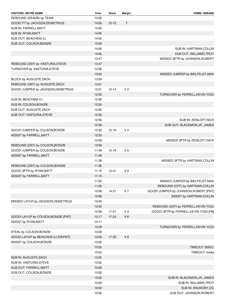| <b>VISITORS: NOTRE DAME</b>         | <b>Time</b> | Score     | Margin         | <b>HOME: INDIANA</b>                   |
|-------------------------------------|-------------|-----------|----------------|----------------------------------------|
| REBOUND (DEADB) by TEAM             | 14:00       |           |                |                                        |
| GOOD! FT by JACKSON, DEMETRIUS      | 14:00       | $12 - 12$ | $\mathsf{T}$   |                                        |
| SUB IN: FARRELL, MATT               | 14:00       |           |                |                                        |
| SUB IN: RYAN, MATT                  | 14:00       |           |                |                                        |
| SUB OUT: BEACHEM, VJ                | 14:00       |           |                |                                        |
| SUB OUT: COLSON, BONZIE             | 14:00       |           |                |                                        |
|                                     | 14:00       |           |                | SUB IN: HARTMAN, COLLIN                |
|                                     | 14:00       |           |                | SUB OUT: WILLIAMS, TROY                |
|                                     | 13:47       |           |                | MISSED 3PTR by JOHNSON, ROBERT         |
| REBOUND (DEF) by VASTURIA, STEVE    | 13:47       |           |                |                                        |
| TURNOVER by VASTURIA, STEVE         | 13:36       |           |                |                                        |
|                                     | 13:24       |           |                | MISSED JUMPER by BIELFELDT, MAX        |
| BLOCK by AUGUSTE, ZACH              | 13:24       |           |                |                                        |
| REBOUND (DEF) by AUGUSTE, ZACH      | 13:21       |           |                |                                        |
| GOOD! JUMPER by JACKSON, DEMETRIUS  | 13:01       | $12 - 14$ | V <sub>2</sub> |                                        |
|                                     | 12:50       |           |                | TURNOVER by FERRELL, KEVIN YOGI        |
| SUB IN: BEACHEM, VJ                 | 12:50       |           |                |                                        |
| SUB IN: COLSON, BONZIE              | 12:50       |           |                |                                        |
| SUB OUT: AUGUSTE, ZACH              | 12:50       |           |                |                                        |
| SUB OUT: VASTURIA, STEVE            | 12:50       |           |                |                                        |
|                                     | 12:50       |           |                | SUB IN: ZEISLOFT, NICK                 |
|                                     | 12:50       |           |                | SUB OUT: BLACKMON, JR, JAMES           |
| GOOD! JUMPER by COLSON, BONZIE      | 12:30       | $12 - 16$ | V <sub>4</sub> |                                        |
| ASSIST by FARRELL, MATT             | 12:30       |           |                |                                        |
|                                     | 12:09       |           |                | MISSED 3PTR by ZEISLOFT, NICK          |
| REBOUND (DEF) by COLSON, BONZIE     | 12:09       |           |                |                                        |
| GOOD! JUMPER by COLSON, BONZIE      | 11:49       | $12 - 18$ | $V_6$          |                                        |
| ASSIST by FARRELL, MATT             | 11:49       |           |                |                                        |
|                                     | 11:36       |           |                | MISSED 3PTR by HARTMAN, COLLIN         |
| REBOUND (DEF) by COLSON, BONZIE     | 11:36       |           |                |                                        |
| GOOD! 3PTR by RYAN, MATT            | 11:15       | $12 - 21$ | V <sub>9</sub> |                                        |
| ASSIST by FARRELL, MATT             | 11:15       |           |                |                                        |
|                                     | 11:00       |           |                | MISSED JUMPER by BIELFELDT, MAX        |
|                                     | 11:00       |           |                | REBOUND (OFF) by HARTMAN, COLLIN       |
|                                     | 10:56       | $14-21$   | V <sub>7</sub> | GOOD! JUMPER by JOHNSON, ROBERT [PNT]  |
|                                     | 10:56       |           |                | ASSIST by HARTMAN, COLLIN              |
| MISSED LAYUP by JACKSON, DEMETRIUS  | 10:45       |           |                |                                        |
|                                     | 10:45       |           |                | REBOUND (DEF) by FERRELL, KEVIN YOGI   |
|                                     | 10:39       | $17 - 21$ | V <sub>4</sub> | GOOD! 3PTR by FERRELL, KEVIN YOGI [FB] |
| GOOD! LAYUP by COLSON, BONZIE [PNT] | 10:17       | 17-23     | $V_6$          |                                        |
| ASSIST by RYAN, MATT                | 10:17       |           |                |                                        |
|                                     | 10:09       |           |                | TURNOVER by FERRELL, KEVIN YOGI        |
| STEAL by COLSON, BONZIE             | 10:09       |           |                |                                        |
| GOOD! LAYUP by BEACHEM, VJ [FB/PNT] | 10:05       | $17 - 25$ | V8             |                                        |
| ASSIST by COLSON, BONZIE            | 10:05       |           |                |                                        |
|                                     | 10:02       |           |                | TIMEOUT 30SEC                          |
|                                     | 10:02       |           |                | TIMEOUT media                          |
| SUB IN: AUGUSTE, ZACH               | 10:02       |           |                |                                        |
| SUB IN: VASTURIA, STEVE             | 10:02       |           |                |                                        |
| SUB OUT: FARRELL, MATT              | 10:02       |           |                |                                        |
| SUB OUT: COLSON, BONZIE             | 10:02       |           |                |                                        |
|                                     | 10:02       |           |                | SUB IN: BLACKMON, JR, JAMES            |
|                                     | 10:02       |           |                | SUB IN: WILLIAMS, TROY                 |
|                                     | 10:02       |           |                | SUB IN: ANUNOBY,OG                     |
|                                     | 10:02       |           |                | SUB OUT: JOHNSON, ROBERT               |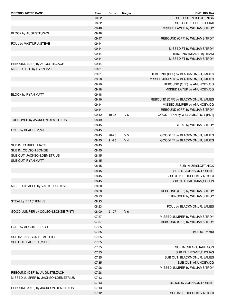| <b>VISITORS: NOTRE DAME</b>          | <b>Time</b>    | Score     | Margin         | <b>HOME: INDIANA</b>                 |
|--------------------------------------|----------------|-----------|----------------|--------------------------------------|
|                                      | 10:02          |           |                | SUB OUT: ZEISLOFT, NICK              |
|                                      | 10:02          |           |                | SUB OUT: BIELFELDT, MAX              |
|                                      | 09:48          |           |                | MISSED LAYUP by WILLIAMS, TROY       |
| BLOCK by AUGUSTE, ZACH               | 09:48          |           |                |                                      |
|                                      | 09:47          |           |                | REBOUND (OFF) by WILLIAMS, TROY      |
| FOUL by VASTURIA, STEVE              | 09:44          |           |                |                                      |
|                                      | 09:44          |           |                | MISSED FT by WILLIAMS, TROY          |
|                                      | 09:44          |           |                | REBOUND (DEADB) by TEAM              |
|                                      | 09:44          |           |                | MISSED FT by WILLIAMS, TROY          |
| REBOUND (DEF) by AUGUSTE, ZACH       | 09:44          |           |                |                                      |
| MISSED 3PTR by RYAN, MATT            | 09:31          |           |                |                                      |
|                                      | 09:31          |           |                | REBOUND (DEF) by BLACKMON, JR, JAMES |
|                                      | 09:20          |           |                | MISSED JUMPER by BLACKMON, JR, JAMES |
|                                      | 09:20          |           |                | REBOUND (OFF) by ANUNOBY, OG         |
|                                      | 09:18          |           |                | MISSED LAYUP by ANUNOBY, OG          |
| <b>BLOCK by RYAN, MATT</b>           | 09:18          |           |                |                                      |
|                                      | 09:16          |           |                | REBOUND (OFF) by BLACKMON, JR, JAMES |
|                                      | 09:14          |           |                | MISSED JUMPER by ANUNOBY, OG         |
|                                      | 09:14          |           |                | REBOUND (OFF) by WILLIAMS, TROY      |
|                                      | 09:12          | 19-25     | $V_6$          | GOOD! TIPIN by WILLIAMS, TROY [PNT]  |
| TURNOVER by JACKSON, DEMETRIUS       | 08:49          |           |                |                                      |
|                                      | 08:45          |           |                | STEAL by WILLIAMS, TROY              |
| FOUL by BEACHEM, VJ                  | 08:45          |           |                |                                      |
|                                      | 08:45          | $20 - 25$ | V <sub>5</sub> | GOOD! FT by BLACKMON, JR, JAMES      |
|                                      | 08:45          | $21 - 25$ | V <sub>4</sub> | GOOD! FT by BLACKMON, JR, JAMES      |
| SUB IN: FARRELL, MATT                | 08:45          |           |                |                                      |
| SUB IN: COLSON, BONZIE               | 08:45          |           |                |                                      |
| SUB OUT: JACKSON, DEMETRIUS          | 08:45          |           |                |                                      |
| SUB OUT: RYAN, MATT                  | 08:45          |           |                |                                      |
|                                      | 08:45          |           |                | SUB IN: ZEISLOFT, NICK               |
|                                      | 08:45          |           |                | SUB IN: JOHNSON, ROBERT              |
|                                      | 08:45          |           |                | SUB OUT: FERRELL, KEVIN YOGI         |
|                                      | 08:45          |           |                | SUB OUT: HARTMAN, COLLIN             |
| MISSED JUMPER by VASTURIA, STEVE     | 08:30          |           |                |                                      |
|                                      | 08:30          |           |                | REBOUND (DEF) by WILLIAMS, TROY      |
|                                      | 08:23          |           |                | TURNOVER by WILLIAMS, TROY           |
| STEAL by BEACHEM, VJ                 | 08:23          |           |                |                                      |
|                                      | 08:23          |           |                | FOUL by BLACKMON, JR, JAMES          |
| GOOD! JUMPER by COLSON, BONZIE [PNT] | 08:00          | $21 - 27$ | V <sub>6</sub> |                                      |
|                                      | 07:37          |           |                | MISSED JUMPER by WILLIAMS, TROY      |
|                                      | 07:37          |           |                | REBOUND (OFF) by WILLIAMS, TROY      |
| FOUL by AUGUSTE, ZACH                | 07:35          |           |                |                                      |
|                                      | 07:35          |           |                | TIMEOUT media                        |
| SUB IN: JACKSON, DEMETRIUS           | 07:35          |           |                |                                      |
| SUB OUT: FARRELL, MATT               | 07:35          |           |                |                                      |
|                                      | 07:35          |           |                | SUB IN: NIEGO, HARRISON              |
|                                      | 07:35          |           |                | SUB IN: BRYANT, THOMAS               |
|                                      | 07:35          |           |                | SUB OUT: BLACKMON, JR, JAMES         |
|                                      | 07:35          |           |                |                                      |
|                                      | 07:28          |           |                | SUB OUT: ANUNOBY, OG                 |
| REBOUND (DEF) by AUGUSTE, ZACH       | 07:28          |           |                | MISSED JUMPER by WILLIAMS, TROY      |
|                                      | 07:13          |           |                |                                      |
| MISSED JUMPER by JACKSON, DEMETRIUS  |                |           |                |                                      |
|                                      | 07:13          |           |                | BLOCK by JOHNSON, ROBERT             |
| REBOUND (OFF) by JACKSON, DEMETRIUS  | 07:13<br>07:12 |           |                | SUB IN: FERRELL, KEVIN YOGI          |
|                                      |                |           |                |                                      |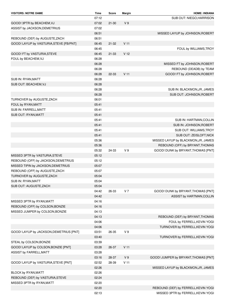| <b>VISITORS: NOTRE DAME</b>                                   | Time  | Score     | Margin          | <b>HOME: INDIANA</b>                 |
|---------------------------------------------------------------|-------|-----------|-----------------|--------------------------------------|
|                                                               | 07:12 |           |                 | SUB OUT: NIEGO, HARRISON             |
| GOOD! 3PTR by BEACHEM, VJ                                     | 07:02 | $21 - 30$ | V <sub>9</sub>  |                                      |
| ASSIST by JACKSON, DEMETRIUS                                  | 07:02 |           |                 |                                      |
|                                                               | 06:51 |           |                 | MISSED LAYUP by JOHNSON, ROBERT      |
| REBOUND (DEF) by AUGUSTE, ZACH                                | 06:51 |           |                 |                                      |
| GOOD! LAYUP by VASTURIA, STEVE [FB/PNT]                       | 06:45 | $21 - 32$ | V <sub>11</sub> |                                      |
|                                                               | 06:45 |           |                 | FOUL by WILLIAMS, TROY               |
| GOOD! FT by VASTURIA, STEVE                                   | 06:45 | 21-33     | V <sub>12</sub> |                                      |
| FOUL by BEACHEM, VJ                                           | 06:28 |           |                 |                                      |
|                                                               | 06:28 |           |                 | MISSED FT by JOHNSON, ROBERT         |
|                                                               | 06:28 |           |                 | REBOUND (DEADB) by TEAM              |
|                                                               | 06:28 | 22-33     | V <sub>11</sub> | GOOD! FT by JOHNSON, ROBERT          |
| SUB IN: RYAN, MATT                                            | 06:28 |           |                 |                                      |
| SUB OUT: BEACHEM, VJ                                          | 06:28 |           |                 |                                      |
|                                                               | 06:28 |           |                 | SUB IN: BLACKMON, JR, JAMES          |
|                                                               | 06:28 |           |                 | SUB OUT: JOHNSON, ROBERT             |
| TURNOVER by AUGUSTE, ZACH                                     | 06:01 |           |                 |                                      |
| FOUL by RYAN, MATT                                            | 05:41 |           |                 |                                      |
| SUB IN: FARRELL, MATT                                         | 05:41 |           |                 |                                      |
| SUB OUT: RYAN, MATT                                           | 05:41 |           |                 |                                      |
|                                                               | 05:41 |           |                 | SUB IN: HARTMAN, COLLIN              |
|                                                               | 05:41 |           |                 | SUB IN: JOHNSON, ROBERT              |
|                                                               | 05:41 |           |                 | SUB OUT: WILLIAMS,TROY               |
|                                                               | 05:41 |           |                 | SUB OUT: ZEISLOFT, NICK              |
|                                                               | 05:36 |           |                 | MISSED LAYUP by BLACKMON, JR, JAMES  |
|                                                               | 05:36 |           |                 | REBOUND (OFF) by BRYANT, THOMAS      |
|                                                               | 05:32 | 24-33     | V <sub>9</sub>  | GOOD! DUNK by BRYANT, THOMAS [PNT]   |
| MISSED 3PTR by VASTURIA, STEVE                                | 05:12 |           |                 |                                      |
| REBOUND (OFF) by JACKSON, DEMETRIUS                           | 05:12 |           |                 |                                      |
| MISSED TIPIN by JACKSON, DEMETRIUS                            | 05:07 |           |                 |                                      |
| REBOUND (OFF) by AUGUSTE, ZACH                                | 05:07 |           |                 |                                      |
| TURNOVER by AUGUSTE, ZACH                                     | 05:04 |           |                 |                                      |
| SUB IN: RYAN, MATT                                            | 05:04 |           |                 |                                      |
| SUB OUT: AUGUSTE, ZACH                                        | 05:04 |           |                 |                                      |
|                                                               | 04:42 | 26-33     | V <sub>7</sub>  | GOOD! DUNK by BRYANT, THOMAS [PNT]   |
|                                                               | 04:42 |           |                 | ASSIST by HARTMAN, COLLIN            |
| MISSED 3PTR by RYAN, MATT                                     | 04:16 |           |                 |                                      |
| REBOUND (OFF) by COLSON, BONZIE                               | 04:16 |           |                 |                                      |
| MISSED JUMPER by COLSON, BONZIE                               | 04:13 |           |                 |                                      |
|                                                               | 04:13 |           |                 | REBOUND (DEF) by BRYANT, THOMAS      |
|                                                               | 04:06 |           |                 | FOUL by FERRELL, KEVIN YOGI          |
|                                                               | 04:06 |           |                 | TURNOVER by FERRELL, KEVIN YOGI      |
| GOOD! LAYUP by JACKSON, DEMETRIUS [PNT]                       | 03:51 | 26-35     | V <sub>9</sub>  |                                      |
|                                                               | 03:40 |           |                 | TURNOVER by FERRELL, KEVIN YOGI      |
| STEAL by COLSON, BONZIE                                       | 03:39 |           |                 |                                      |
| GOOD! LAYUP by COLSON, BONZIE [PNT]                           | 03:28 | 26-37     | V <sub>11</sub> |                                      |
| ASSIST by FARRELL, MATT                                       | 03:28 |           |                 |                                      |
|                                                               | 03:16 | 28-37     | V <sub>9</sub>  | GOOD! JUMPER by BRYANT, THOMAS [PNT] |
| GOOD! LAYUP by VASTURIA, STEVE [PNT]                          | 02:52 | 28-39     | V <sub>11</sub> |                                      |
|                                                               | 02:26 |           |                 | MISSED LAYUP by BLACKMON, JR, JAMES  |
|                                                               | 02:26 |           |                 |                                      |
| BLOCK by RYAN, MATT                                           | 02:24 |           |                 |                                      |
| REBOUND (DEF) by VASTURIA, STEVE<br>MISSED 3PTR by RYAN, MATT | 02:20 |           |                 |                                      |
|                                                               | 02:20 |           |                 |                                      |
|                                                               |       |           |                 | REBOUND (DEF) by FERRELL, KEVIN YOGI |
|                                                               | 02:13 |           |                 | MISSED 3PTR by FERRELL, KEVIN YOGI   |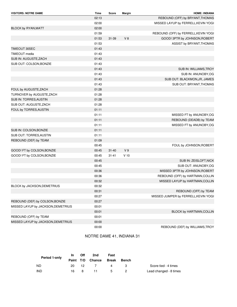| <b>VISITORS: NOTRE DAME</b>        | <b>Time</b> | Score     | Margin         | <b>HOME: INDIANA</b>                 |
|------------------------------------|-------------|-----------|----------------|--------------------------------------|
|                                    | 02:13       |           |                | REBOUND (OFF) by BRYANT, THOMAS      |
|                                    | 02:00       |           |                | MISSED LAYUP by FERRELL, KEVIN YOGI  |
| BLOCK by RYAN, MATT                | 02:00       |           |                |                                      |
|                                    | 01:59       |           |                | REBOUND (OFF) by FERRELL, KEVIN YOGI |
|                                    | 01:53       | $31 - 39$ | V8             | GOOD! 3PTR by JOHNSON, ROBERT        |
|                                    | 01:53       |           |                | ASSIST by BRYANT, THOMAS             |
| TIMEOUT 30SEC                      | 01:43       |           |                |                                      |
| TIMEOUT media                      | 01:43       |           |                |                                      |
| SUB IN: AUGUSTE, ZACH              | 01:43       |           |                |                                      |
| SUB OUT: COLSON, BONZIE            | 01:43       |           |                |                                      |
|                                    | 01:43       |           |                | SUB IN: WILLIAMS, TROY               |
|                                    | 01:43       |           |                | SUB IN: ANUNOBY,OG                   |
|                                    | 01:43       |           |                | SUB OUT: BLACKMON, JR, JAMES         |
|                                    | 01:43       |           |                | SUB OUT: BRYANT, THOMAS              |
| FOUL by AUGUSTE, ZACH              | 01:28       |           |                |                                      |
| TURNOVER by AUGUSTE, ZACH          | 01:28       |           |                |                                      |
| SUB IN: TORRES, AUSTIN             | 01:28       |           |                |                                      |
| SUB OUT: AUGUSTE, ZACH             | 01:28       |           |                |                                      |
| FOUL by TORRES, AUSTIN             | 01:11       |           |                |                                      |
|                                    | 01:11       |           |                | MISSED FT by ANUNOBY, OG             |
|                                    | 01:11       |           |                | REBOUND (DEADB) by TEAM              |
|                                    | 01:11       |           |                | MISSED FT by ANUNOBY, OG             |
| SUB IN: COLSON, BONZIE             | 01:11       |           |                |                                      |
| SUB OUT: TORRES, AUSTIN            | 01:11       |           |                |                                      |
| REBOUND (DEF) by TEAM              | 01:09       |           |                |                                      |
|                                    | 00:45       |           |                | FOUL by JOHNSON, ROBERT              |
| GOOD! FT by COLSON, BONZIE         | 00:45       | $31 - 40$ | V <sub>9</sub> |                                      |
| GOOD! FT by COLSON, BONZIE         | 00:45       | $31 - 41$ | $V$ 10         |                                      |
|                                    | 00:45       |           |                | SUB IN: ZEISLOFT, NICK               |
|                                    | 00:45       |           |                | SUB OUT: ANUNOBY, OG                 |
|                                    | 00:36       |           |                | MISSED 3PTR by JOHNSON, ROBERT       |
|                                    | 00:36       |           |                | REBOUND (OFF) by HARTMAN, COLLIN     |
|                                    | 00:32       |           |                | MISSED LAYUP by HARTMAN, COLLIN      |
| BLOCK by JACKSON, DEMETRIUS        | 00:32       |           |                |                                      |
|                                    | 00:31       |           |                | REBOUND (OFF) by TEAM                |
|                                    | 00:27       |           |                | MISSED JUMPER by FERRELL, KEVIN YOGI |
| REBOUND (DEF) by COLSON, BONZIE    | 00:27       |           |                |                                      |
| MISSED LAYUP by JACKSON, DEMETRIUS | 00:01       |           |                |                                      |
|                                    | 00:01       |           |                | BLOCK by HARTMAN, COLLIN             |
| REBOUND (OFF) by TEAM              | 00:01       |           |                |                                      |
| MISSED LAYUP by JACKSON, DEMETRIUS | 00:00       |           |                |                                      |
|                                    | 00:00       |           |                | REBOUND (DEF) by WILLIAMS, TROY      |

#### NOTRE DAME 41, INDIANA 31

| Period 1-only | <b>In</b> | Off | 2nd              | Fast        |       |                        |
|---------------|-----------|-----|------------------|-------------|-------|------------------------|
|               |           |     | Paint T/O Chance | Break       | Bench |                        |
| ND.           | 20.       | 12  |                  | 4           |       | Score tied - 4 times   |
| IND           | 16.       | 8   |                  | $5^{\circ}$ |       | Lead changed - 8 times |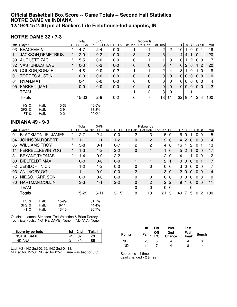#### **Official Basketball Box Score -- Game Totals -- Second Half Statistics NOTRE DAME vs INDIANA 12/19/2015 2:00 pm at Bankers Life Fieldhouse-Indianapolis, IN**

#### **NOTRE DAME 32 • 7-3**

|    |                      |                           |                           | Total   | 3-Ptr                      |         |         | Rebounds                |                |           |                |                       |                |                |    |                |
|----|----------------------|---------------------------|---------------------------|---------|----------------------------|---------|---------|-------------------------|----------------|-----------|----------------|-----------------------|----------------|----------------|----|----------------|
|    | ## Player            |                           |                           |         | S FG-FGA 3PT FG-FGA FT-FTA |         | Off Reb | Def Reb                 | Tot Reb        | <b>PF</b> | <b>TPI</b>     |                       |                | A TO Blk Stl   |    | Min            |
| 03 | <b>BEACHEM, VJ</b>   |                           | $\star$                   | $4 - 7$ | $2 - 4$                    | $0-0$   |         |                         | 2              | 2         | 10             |                       | 0              | 0              |    | 19             |
| 11 |                      | <b>JACKSON, DEMETRIUS</b> | $^\star$                  | $2 - 9$ | $0 - 2$                    | $0 - 0$ | 3       | 2                       | 5 <sup>5</sup> |           | 4              | 4                     | 1              | $\mathbf 0$    |    | 20             |
| 30 | AUGUSTE, ZACH        |                           | $\star$                   | $5-5$   | $0-0$                      | $0-0$   | 0       | 1                       |                | 3         | 10             |                       | $\overline{2}$ | 0 <sub>0</sub> |    | 17             |
| 32 |                      | <b>VASTURIA, STEVE</b>    | $\star$                   | $0 - 3$ | $0 - 3$                    | $0 - 0$ | 0       | $\mathbf 0$             | $\overline{0}$ |           | 0              | $\mathbf{2}^{\prime}$ | $\overline{0}$ | $1\,2$         |    | 20             |
| 35 |                      | COLSON, BONZIE            | $\star$                   | $4 - 8$ | $0-0$                      | $0 - 2$ |         | $\overline{\mathbf{1}}$ | 2              | 4         | 8              |                       | $\mathbf{0}$   | 1.             | -0 | 18             |
| 01 |                      | <b>TORRES, AUSTIN</b>     |                           | $0-0$   | $0-0$                      | $0-0$   | 0       | $\mathbf 0$             | $\mathbf 0$    | $\Omega$  | $\overline{0}$ | $\Omega$              | $\Omega$       | 0 <sub>0</sub> |    | $\mathbf 0$    |
| 04 | RYAN, MATT           |                           |                           | $0 - 1$ | $0-0$                      | $0-0$   | 0       | $\mathbf 0$             | 0              | 0         | 0              | 0                     | $\mathbf{0}$   | 0 <sub>0</sub> |    | 4              |
| 05 | FARRELL, MATT        |                           |                           | $0-0$   | $0-0$                      | $0-0$   | 0       | 0                       | $\mathbf 0$    | $\Omega$  | $\overline{0}$ | $\mathbf{0}$          | $\overline{0}$ | 0 <sub>0</sub> |    | $\overline{2}$ |
|    | <b>TEAM</b>          |                           |                           |         |                            |         |         | 2                       | $\mathbf{3}$   | 0         |                |                       |                |                |    |                |
|    | Totals               |                           |                           | $15-33$ | $2 - 9$                    | $0 - 2$ | 6       | 7                       | 13             | 11        | 32             | 9                     | 4              | $\overline{2}$ | 4  | 100            |
|    | FG %<br>3FG %<br>FT% | Half:<br>Half:<br>Half:   | 15-33<br>$2-9$<br>$0 - 2$ |         | 45.5%<br>33.3%<br>00.0%    |         |         |                         |                |           |                |                       |                |                |    |                |

#### **INDIANA 49 • 9-3**

|    | ט ט די הווחשווו                   |          |                            |                          |           |                |                |                |                |                |                      |                |                          |                |
|----|-----------------------------------|----------|----------------------------|--------------------------|-----------|----------------|----------------|----------------|----------------|----------------|----------------------|----------------|--------------------------|----------------|
|    |                                   |          | 3-Ptr<br>Rebounds<br>Total |                          |           |                |                |                |                |                |                      |                |                          |                |
|    | ## Player                         | S        |                            | FG-FGA 3PT FG-FGA FT-FTA |           | Off Reb        | Def Reb        | Tot Reb PF     |                | TPI            |                      |                | A TO Blk Stl             | Min            |
| 01 | <b>BLACKMON, JR, JAMES</b>        | $\star$  | $2 - 7$                    | $2 - 4$                  | $0-0$     | 2              | 3              | 5              | 0              | 6              | 0                    |                | 0<br>$\mathbf 0$         | 15             |
| 04 | <b>JOHNSON, ROBERT</b>            | $\star$  | $1 - 1$                    | $1 - 1$                  | $1-2$     | $\mathbf 0$    | $\overline{2}$ | $\overline{2}$ | 0              | 4              | $\mathbf{2}^{\circ}$ | $\overline{0}$ | 0 <sub>0</sub>           | 14             |
| 05 | <b>WILLIAMS, TROY</b>             | $^\star$ | $5 - 8$                    | $0 - 1$                  | $6 - 7$   | $\overline{c}$ | $\overline{c}$ | 4              | $\mathbf 0$    | 16             |                      | 2              | $\Omega$                 | 13             |
| 11 | FERRELL, KEVIN YOGI               | $\star$  | $1 - 3$                    | $1-2$                    | $2 - 2$   | 0              | 1              | $\mathbf{1}$   | $\Omega$       | 5              | $\mathbf{2}$         | $\mathbf{1}$   | 0 <sub>0</sub>           | 17             |
| 31 | BRYANT, THOMAS                    | $\star$  | 1-4                        | $0-0$                    | $2 - 2$   |                |                | $\overline{c}$ | $\mathbf 0$    | 4              |                      |                | $\mathbf{0}$<br>$\Omega$ | 12             |
| 00 | BIELFELDT, MAX                    |          | $0-0$                      | $0-0$                    | $0 - 0$   |                | 1              | $\overline{c}$ |                | 0              | 0                    | $\Omega$       | $\mathbf{0}$             | $\overline{7}$ |
| 02 | <b>ZEISLOFT, NICK</b>             |          | $1-2$                      | $1 - 2$                  | $0 - 0$   | $\mathbf 0$    | 0              | $\mathbf 0$    | $\Omega$       | 3              | 0                    | $\Omega$       | $\mathbf{0}$<br>$\Omega$ | 7              |
| 03 | ANUNOBY, OG                       |          | $1 - 1$                    | $0-0$                    | $0 - 0$   | $\overline{2}$ |                | 3              | $\Omega$       | $\overline{2}$ | 0                    | $\Omega$       | $\Omega$<br>$\Omega$     | 4              |
| 15 | NIEGO, HARRISON                   |          | $0 - 0$                    | $0-0$                    | $0-0$     | $\mathbf 0$    | 0              | 0              | $\Omega$       | 0              | 0                    | $\Omega$       | 0<br>$\Omega$            | 0              |
| 30 | <b>HARTMAN, COLLIN</b>            |          | $3-3$                      | $1 - 1$                  | $2 - 2$   | $\mathbf 0$    | 2              | 2 <sub>1</sub> | $\overline{2}$ | 9              | 1.                   | $\Omega$       | $\Omega$<br>$\Omega$     | 11             |
|    | <b>TEAM</b>                       |          |                            |                          |           | 0              | 0              | 0              | 0              |                |                      | 0              |                          |                |
|    | <b>Totals</b>                     |          | 15-29                      | $6 - 11$                 | $13 - 15$ | 8              | 13             | 21             | 3              | 49             | 7                    | 5              | $\overline{2}$<br>0      | 100            |
|    | <b>FG %</b><br>$15 - 29$<br>Half: |          |                            | 51.7%                    |           |                |                |                |                |                |                      |                |                          |                |
|    | 3FG %<br>Half:<br>$6 - 11$        |          |                            | 44.4%                    |           |                |                |                |                |                |                      |                |                          |                |
|    | FT%<br>13-15<br>Half:             |          |                            | 86.7%                    |           |                |                |                |                |                |                      |                |                          |                |

Officials: Lamont Simpson, Ted Valentine & Brian Dorsey Technical Fouls: NOTRE DAME- None. INDIANA- None.

| Score by periods | 1st | 2nd | ™otal |
|------------------|-----|-----|-------|
| NOTRE DAME       |     |     | 73.   |
| INDIANA          | n-  | 49  | 80    |

Last FG - ND 2nd-02:55, IND 2nd-04:13.

ND led for 15:58. IND led for 0:57. Game was tied for 3:05.

|               | In. | <b>Off</b> | 2nd                                    | Fast |              |
|---------------|-----|------------|----------------------------------------|------|--------------|
| <b>Points</b> |     |            | Paint Off 2nd Fast<br>T/O Chance Break |      | <b>Bench</b> |
| ND            | 26  | 5          | Δ                                      |      |              |
| IND           | 14  |            | Δ                                      | я    | 14           |

Score tied - 4 times Lead changed - 2 times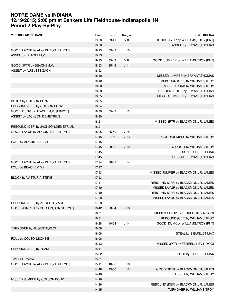# **NOTRE DAME vs INDIANA 12/19/2015; 2:00 pm at Bankers Life Fieldhouse-Indianapolis, IN Period 2 Play-By-Play**

| <b>VISITORS: NOTRE DAME</b>          | <b>Time</b> | Score     | Margin          | <b>HOME: INDIANA</b>                 |
|--------------------------------------|-------------|-----------|-----------------|--------------------------------------|
|                                      | 19:50       | $33 - 41$ | V8              | GOOD! LAYUP by WILLIAMS, TROY [PNT]  |
|                                      | 19:50       |           |                 | ASSIST by BRYANT, THOMAS             |
| GOOD! LAYUP by AUGUSTE, ZACH [PNT]   | 19:23       | 33-43     | $V$ 10          |                                      |
| ASSIST by BEACHEM, VJ                | 19:23       |           |                 |                                      |
|                                      | 19:13       | $35 - 43$ | V8              | GOOD! JUMPER by WILLIAMS, TROY [PNT] |
| GOOD! 3PTR by BEACHEM, VJ            | 18:53       | 35-46     | V <sub>11</sub> |                                      |
| ASSIST by AUGUSTE, ZACH              | 18:53       |           |                 |                                      |
|                                      | 18:40       |           |                 | MISSED JUMPER by BRYANT, THOMAS      |
|                                      | 18:40       |           |                 | REBOUND (OFF) by WILLIAMS, TROY      |
|                                      | 18:38       |           |                 | MISSED DUNK by WILLIAMS, TROY        |
|                                      | 18:38       |           |                 | REBOUND (OFF) by BRYANT, THOMAS      |
|                                      | 18:35       |           |                 | MISSED JUMPER by BRYANT, THOMAS      |
| BLOCK by COLSON, BONZIE              | 18:35       |           |                 |                                      |
| REBOUND (DEF) by COLSON, BONZIE      | 18:34       |           |                 |                                      |
| GOOD! DUNK by BEACHEM, VJ [FB/PNT]   | 18:30       | $35 - 48$ | V <sub>13</sub> |                                      |
| ASSIST by JACKSON, DEMETRIUS         | 18:30       |           |                 |                                      |
|                                      | 18:21       |           |                 | MISSED 3PTR by BLACKMON, JR, JAMES   |
| REBOUND (DEF) by JACKSON, DEMETRIUS  | 18:21       |           |                 |                                      |
| GOOD! LAYUP by AUGUSTE, ZACH [PNT]   | 18:05       | $35 - 50$ | V <sub>15</sub> |                                      |
|                                      | 17:45       | 37-50     | V <sub>13</sub> | GOOD! JUMPER by WILLIAMS, TROY       |
| FOUL by AUGUSTE, ZACH                | 17:45       |           |                 |                                      |
|                                      | 17:45       | 38-50     | V <sub>12</sub> | GOOD! FT by WILLIAMS, TROY           |
|                                      | 17:45       |           |                 | SUB IN: BIELFELDT, MAX               |
|                                      | 17:45       |           |                 | SUB OUT: BRYANT, THOMAS              |
| GOOD! LAYUP by AUGUSTE, ZACH [PNT]   | 17:24       | 38-52     | V <sub>14</sub> |                                      |
| FOUL by BEACHEM, VJ                  | 17:17       |           |                 |                                      |
|                                      | 17:13       |           |                 | MISSED JUMPER by BLACKMON, JR, JAMES |
| BLOCK by VASTURIA, STEVE             | 17:13       |           |                 |                                      |
|                                      | 17:11       |           |                 | REBOUND (OFF) by BLACKMON, JR, JAMES |
|                                      | 17:10       |           |                 | MISSED LAYUP by BLACKMON, JR, JAMES  |
|                                      | 17:10       |           |                 | REBOUND (OFF) by BLACKMON, JR, JAMES |
|                                      | 17:08       |           |                 | MISSED LAYUP by BLACKMON, JR, JAMES  |
| REBOUND (DEF) by AUGUSTE, ZACH       | 17:08       |           |                 |                                      |
| GOOD! JUMPER by COLSON, BONZIE [PNT] | 16:42       | 38-54     | V <sub>16</sub> |                                      |
|                                      | 16:31       |           |                 | MISSED LAYUP by FERRELL, KEVIN YOGI  |
|                                      | 16:31       |           |                 | REBOUND (OFF) by WILLIAMS, TROY      |
|                                      | 16:28       | 40-54     | V <sub>14</sub> | GOOD! DUNK by WILLIAMS, TROY [PNT]   |
| TURNOVER by AUGUSTE, ZACH            | 16:06       |           |                 |                                      |
|                                      | 16:06       |           |                 | STEAL by BIELFELDT, MAX              |
| FOUL by COLSON, BONZIE               | 16:06       |           |                 |                                      |
|                                      | 15:43       |           |                 | MISSED 3PTR by FERRELL, KEVIN YOGI   |
| REBOUND (DEF) by TEAM                | 15:41       |           |                 |                                      |
|                                      | 15:32       |           |                 | FOUL by BIELFELDT, MAX               |
| <b>TIMEOUT</b> media                 | 15:31       |           |                 |                                      |
| GOOD! LAYUP by AUGUSTE, ZACH [PNT]   | 15:11       | 40-56     | V <sub>16</sub> |                                      |
|                                      | 14:48       | 43-56     | V <sub>13</sub> | GOOD! 3PTR by BLACKMON, JR, JAMES    |
|                                      | 14:48       |           |                 | ASSIST by WILLIAMS, TROY             |
| MISSED JUMPER by COLSON, BONZIE      | 14:26       |           |                 |                                      |
|                                      | 14:26       |           |                 | REBOUND (DEF) by BLACKMON, JR, JAMES |
|                                      | 14:15       |           |                 | TURNOVER by WILLIAMS, TROY           |
|                                      |             |           |                 |                                      |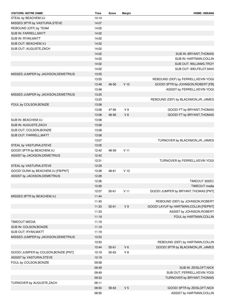| <b>VISITORS: NOTRE DAME</b>          | <b>Time</b> | Score     | Margin          | <b>HOME: INDIANA</b>                    |
|--------------------------------------|-------------|-----------|-----------------|-----------------------------------------|
| STEAL by BEACHEM, VJ                 | 14:14       |           |                 |                                         |
| MISSED 3PTR by VASTURIA, STEVE       | 14:07       |           |                 |                                         |
| REBOUND (OFF) by TEAM                | 14:02       |           |                 |                                         |
| SUB IN: FARRELL, MATT                | 14:02       |           |                 |                                         |
| SUB IN: RYAN, MATT                   | 14:02       |           |                 |                                         |
| SUB OUT: BEACHEM, VJ                 | 14:02       |           |                 |                                         |
| SUB OUT: AUGUSTE, ZACH               | 14:02       |           |                 |                                         |
|                                      | 14:02       |           |                 | SUB IN: BRYANT, THOMAS                  |
|                                      | 14:02       |           |                 | SUB IN: HARTMAN, COLLIN                 |
|                                      | 14:02       |           |                 | SUB OUT: WILLIAMS, TROY                 |
|                                      | 14:02       |           |                 | SUB OUT: BIELFELDT, MAX                 |
| MISSED JUMPER by JACKSON, DEMETRIUS  | 13:55       |           |                 |                                         |
|                                      | 13:55       |           |                 | REBOUND (DEF) by FERRELL, KEVIN YOGI    |
|                                      | 13:48       | 46-56     | V <sub>10</sub> | GOOD! 3PTR by JOHNSON, ROBERT [FB]      |
|                                      | 13:48       |           |                 | ASSIST by FERRELL, KEVIN YOGI           |
| MISSED JUMPER by JACKSON, DEMETRIUS  | 13:25       |           |                 |                                         |
|                                      | 13:25       |           |                 | REBOUND (DEF) by BLACKMON, JR, JAMES    |
| FOUL by COLSON, BONZIE               | 13:08       |           |                 |                                         |
|                                      | 13:08       | 47-56     | V <sub>9</sub>  | GOOD! FT by BRYANT, THOMAS              |
|                                      | 13:08       | 48-56     | V8              | GOOD! FT by BRYANT, THOMAS              |
| SUB IN: BEACHEM, VJ                  | 13:08       |           |                 |                                         |
| SUB IN: AUGUSTE, ZACH                | 13:08       |           |                 |                                         |
| SUB OUT: COLSON, BONZIE              | 13:08       |           |                 |                                         |
| SUB OUT: FARRELL, MATT               | 13:08       |           |                 |                                         |
|                                      | 13:07       |           |                 | TURNOVER by BLACKMON, JR, JAMES         |
| STEAL by VASTURIA, STEVE             | 13:05       |           |                 |                                         |
|                                      | 12:42       | 48-59     | V <sub>11</sub> |                                         |
| GOOD! 3PTR by BEACHEM, VJ            |             |           |                 |                                         |
| ASSIST by JACKSON, DEMETRIUS         | 12:42       |           |                 |                                         |
|                                      | 12:31       |           |                 | TURNOVER by FERRELL, KEVIN YOGI         |
| STEAL by VASTURIA, STEVE             | 12:29       |           |                 |                                         |
| GOOD! DUNK by BEACHEM, VJ [FB/PNT]   | 12:28       | 48-61     | V <sub>13</sub> |                                         |
| ASSIST by JACKSON, DEMETRIUS         | 12:28       |           |                 |                                         |
|                                      | 12:26       |           |                 | <b>TIMEOUT 30SEC</b>                    |
|                                      | 12:26       |           |                 | TIMEOUT media                           |
|                                      | 12:07       | $50 - 61$ | V <sub>11</sub> | GOOD! JUMPER by BRYANT, THOMAS [PNT]    |
| MISSED 3PTR by BEACHEM, VJ           | 11:44       |           |                 |                                         |
|                                      | 11:40       |           |                 | REBOUND (DEF) by JOHNSON, ROBERT        |
|                                      | 11:33       | $52 - 61$ | V <sub>9</sub>  | GOOD! LAYUP by HARTMAN, COLLIN [FB/PNT] |
|                                      | 11:33       |           |                 | ASSIST by JOHNSON, ROBERT               |
|                                      | 11:19       |           |                 | FOUL by HARTMAN, COLLIN                 |
| <b>TIMEOUT MEDIA</b>                 | 11:19       |           |                 |                                         |
| SUB IN: COLSON, BONZIE               | 11:19       |           |                 |                                         |
| SUB OUT: RYAN, MATT                  | 11:19       |           |                 |                                         |
| MISSED JUMPER by JACKSON, DEMETRIUS  | 10:53       |           |                 |                                         |
|                                      | 10:53       |           |                 | REBOUND (DEF) by HARTMAN, COLLIN        |
|                                      | 10:44       | $55 - 61$ | $V_6$           | GOOD! 3PTR by BLACKMON, JR, JAMES       |
| GOOD! JUMPER by COLSON, BONZIE [PNT] | 10:19       | 55-63     | V8              |                                         |
| ASSIST by VASTURIA, STEVE            | 10:19       |           |                 |                                         |
| FOUL by COLSON, BONZIE               | 09:58       |           |                 |                                         |
|                                      | 09:49       |           |                 | SUB IN: ZEISLOFT, NICK                  |
|                                      | 09:49       |           |                 | SUB OUT: FERRELL, KEVIN YOGI            |
|                                      | 09:33       |           |                 | TURNOVER by BRYANT, THOMAS              |
| TURNOVER by AUGUSTE, ZACH            | 09:11       |           |                 |                                         |
|                                      | 08:50       | 58-63     | V <sub>5</sub>  | GOOD! 3PTR by ZEISLOFT, NICK            |
|                                      | 08:50       |           |                 | ASSIST by HARTMAN, COLLIN               |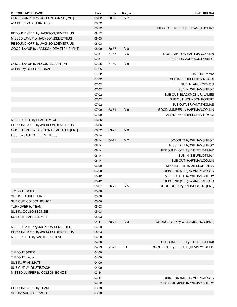| <b>VISITORS: NOTRE DAME</b>                               | Time  | Score     | Margin         | <b>HOME: INDIANA</b>                   |
|-----------------------------------------------------------|-------|-----------|----------------|----------------------------------------|
| GOOD! JUMPER by COLSON, BONZIE [PNT]                      | 08:32 | 58-65     | V <sub>7</sub> |                                        |
| ASSIST by VASTURIA, STEVE                                 | 08:32 |           |                |                                        |
|                                                           | 08:12 |           |                | MISSED JUMPER by BRYANT, THOMAS        |
| REBOUND (DEF) by JACKSON, DEMETRIUS                       | 08:12 |           |                |                                        |
| MISSED LAYUP by JACKSON, DEMETRIUS                        | 08:03 |           |                |                                        |
| REBOUND (OFF) by JACKSON, DEMETRIUS                       | 08:03 |           |                |                                        |
| GOOD! LAYUP by JACKSON, DEMETRIUS [PNT]                   | 08:00 | 58-67     | V <sub>9</sub> |                                        |
|                                                           | 07:51 | 61-67     | V <sub>6</sub> | GOOD! 3PTR by HARTMAN, COLLIN          |
|                                                           | 07:51 |           |                | ASSIST by JOHNSON, ROBERT              |
| GOOD! LAYUP by AUGUSTE, ZACH [PNT]                        | 07:25 | 61-69     | V8             |                                        |
| ASSIST by COLSON, BONZIE                                  | 07:25 |           |                |                                        |
|                                                           | 07:02 |           |                | TIMEOUT media                          |
|                                                           | 07:02 |           |                | SUB IN: FERRELL, KEVIN YOGI            |
|                                                           | 07:02 |           |                | SUB IN: ANUNOBY,OG                     |
|                                                           | 07:02 |           |                | SUB IN: WILLIAMS, TROY                 |
|                                                           | 07:02 |           |                | SUB OUT: BLACKMON, JR, JAMES           |
|                                                           | 07:02 |           |                | SUB OUT: JOHNSON, ROBERT               |
|                                                           | 07:02 |           |                | SUB OUT: BRYANT, THOMAS                |
|                                                           | 07:00 | 63-69     | V <sub>6</sub> | GOOD! JUMPER by HARTMAN, COLLIN        |
|                                                           | 07:00 |           |                | ASSIST by FERRELL, KEVIN YOGI          |
| MISSED 3PTR by BEACHEM, VJ                                | 06:36 |           |                |                                        |
| REBOUND (OFF) by JACKSON, DEMETRIUS                       | 06:36 |           |                |                                        |
| GOOD! DUNK by JACKSON, DEMETRIUS [PNT]                    | 06:32 | 63-71     | $V_8$          |                                        |
| FOUL by JACKSON, DEMETRIUS                                | 06:14 |           |                |                                        |
|                                                           | 06:14 | 64-71     | V <sub>7</sub> | GOOD! FT by WILLIAMS, TROY             |
|                                                           | 06:14 |           |                | MISSED FT by WILLIAMS, TROY            |
|                                                           | 06:14 |           |                | REBOUND (OFF) by BIELFELDT, MAX        |
|                                                           | 06:14 |           |                | SUB IN: BIELFELDT, MAX                 |
|                                                           | 06:14 |           |                | SUB OUT: HARTMAN, COLLIN               |
|                                                           | 06:00 |           |                | MISSED 3PTR by ZEISLOFT, NICK          |
|                                                           | 06:00 |           |                | REBOUND (OFF) by ANUNOBY, OG           |
|                                                           | 05:42 |           |                | MISSED 3PTR by WILLIAMS, TROY          |
|                                                           | 05:42 |           |                | REBOUND (OFF) by ANUNOBY, OG           |
|                                                           | 05:37 | 66-71     | V 5            | GOOD! DUNK by ANUNOBY, OG [PNT]        |
| TIMEOUT 30SEC                                             | 05:06 |           |                |                                        |
| SUB IN: FARRELL, MATT                                     | 05:06 |           |                |                                        |
| SUB OUT: COLSON, BONZIE                                   | 05:06 |           |                |                                        |
| TURNOVER by TEAM                                          | 05:03 |           |                |                                        |
| SUB IN: COLSON, BONZIE                                    | 05:03 |           |                |                                        |
| SUB OUT: FARRELL, MATT                                    | 05:03 |           |                |                                        |
|                                                           | 04:44 | 68-71     | $V_3$          | GOOD! LAYUP by WILLIAMS, TROY [PNT]    |
| MISSED LAYUP by JACKSON, DEMETRIUS                        | 04:23 |           |                |                                        |
| REBOUND (OFF) by JACKSON, DEMETRIUS                       | 04:23 |           |                |                                        |
| MISSED 3PTR by VASTURIA, STEVE                            | 04:20 |           |                |                                        |
|                                                           | 04:20 |           |                | REBOUND (DEF) by BIELFELDT, MAX        |
|                                                           | 04:13 | $71 - 71$ | Τ              | GOOD! 3PTR by FERRELL, KEVIN YOGI [FB] |
| TIMEOUT 30SEC                                             | 04:00 |           |                |                                        |
| TIMEOUT media                                             | 04:00 |           |                |                                        |
| SUB IN: RYAN, MATT                                        | 04:00 |           |                |                                        |
|                                                           | 04:00 |           |                |                                        |
| SUB OUT: AUGUSTE, ZACH<br>MISSED JUMPER by COLSON, BONZIE | 03:44 |           |                |                                        |
|                                                           | 03:44 |           |                | REBOUND (DEF) by ANUNOBY, OG           |
|                                                           | 03:19 |           |                |                                        |
|                                                           | 03:18 |           |                | MISSED JUMPER by WILLIAMS, TROY        |
| REBOUND (DEF) by TEAM<br>SUB IN: AUGUSTE, ZACH            | 03:18 |           |                |                                        |
|                                                           |       |           |                |                                        |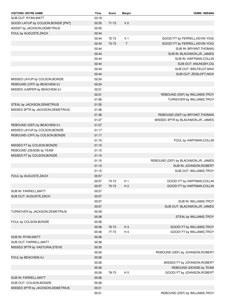| <b>VISITORS: NOTRE DAME</b>         | Time  | Score     | Margin         | <b>HOME: INDIANA</b>                 |
|-------------------------------------|-------|-----------|----------------|--------------------------------------|
| SUB OUT: RYAN, MATT                 | 03:18 |           |                |                                      |
| GOOD! LAYUP by COLSON, BONZIE [PNT] | 02:55 | $71 - 73$ | V <sub>2</sub> |                                      |
| ASSIST by JACKSON, DEMETRIUS        | 02:55 |           |                |                                      |
| FOUL by AUGUSTE, ZACH               | 02:44 |           |                |                                      |
|                                     | 02:44 | 72-73     | V 1            | GOOD! FT by FERRELL, KEVIN YOGI      |
|                                     | 02:44 | 73-73     | T              | GOOD! FT by FERRELL, KEVIN YOGI      |
|                                     | 02:44 |           |                | SUB IN: BRYANT, THOMAS               |
|                                     | 02:44 |           |                | SUB IN: BLACKMON, JR, JAMES          |
|                                     | 02:44 |           |                | SUB IN: HARTMAN, COLLIN              |
|                                     | 02:44 |           |                | SUB OUT: ANUNOBY, OG                 |
|                                     | 02:44 |           |                | SUB OUT: BIELFELDT, MAX              |
|                                     | 02:44 |           |                | SUB OUT: ZEISLOFT, NICK              |
| MISSED LAYUP by COLSON, BONZIE      | 02:24 |           |                |                                      |
| REBOUND (OFF) by BEACHEM, VJ        | 02:24 |           |                |                                      |
| MISSED JUMPER by BEACHEM, VJ        | 02:21 |           |                |                                      |
|                                     | 02:21 |           |                | REBOUND (DEF) by WILLIAMS, TROY      |
|                                     | 01:56 |           |                | TURNOVER by WILLIAMS, TROY           |
| STEAL by JACKSON, DEMETRIUS         | 01:55 |           |                |                                      |
| MISSED 3PTR by JACKSON, DEMETRIUS   | 01:36 |           |                |                                      |
|                                     | 01:36 |           |                | REBOUND (DEF) by BRYANT, THOMAS      |
|                                     | 01:27 |           |                | MISSED 3PTR by BLACKMON, JR, JAMES   |
| REBOUND (DEF) by BEACHEM, VJ        | 01:27 |           |                |                                      |
| MISSED LAYUP by COLSON, BONZIE      | 01:17 |           |                |                                      |
| REBOUND (OFF) by COLSON, BONZIE     | 01:17 |           |                |                                      |
|                                     | 01:15 |           |                | FOUL by HARTMAN, COLLIN              |
| MISSED FT by COLSON, BONZIE         | 01:15 |           |                |                                      |
| REBOUND (DEADB) by TEAM             | 01:15 |           |                |                                      |
| MISSED FT by COLSON, BONZIE         | 01:15 |           |                |                                      |
|                                     | 01:15 |           |                | REBOUND (DEF) by BLACKMON, JR, JAMES |
|                                     | 01:15 |           |                | SUB IN: JOHNSON, ROBERT              |
|                                     | 01:15 |           |                | SUB OUT: WILLIAMS, TROY              |
| FOUL by AUGUSTE, ZACH               | 00:57 |           |                |                                      |
|                                     | 00:57 | 74-73     | H <sub>1</sub> | GOOD! FT by HARTMAN, COLLIN          |
|                                     | 00:57 | 75-73     | H <sub>2</sub> | GOOD! FT by HARTMAN, COLLIN          |
| SUB IN: FARRELL, MATT               | 00:57 |           |                |                                      |
| SUB OUT: AUGUSTE, ZACH              | 00:57 |           |                |                                      |
|                                     | 00:57 |           |                | SUB IN: WILLIAMS, TROY               |
|                                     | 00:57 |           |                | SUB OUT: BLACKMON, JR, JAMES         |
| TURNOVER by JACKSON, DEMETRIUS      | 00:39 |           |                |                                      |
|                                     | 00:38 |           |                | STEAL by WILLIAMS, TROY              |
| FOUL by COLSON, BONZIE              | 00:36 |           |                |                                      |
|                                     | 00:36 | 76-73     | H <sub>3</sub> | GOOD! FT by WILLIAMS, TROY           |
|                                     | 00:36 | 77-73     | H4             | GOOD! FT by WILLIAMS, TROY           |
| SUB IN: RYAN, MATT                  | 00:36 |           |                |                                      |
| SUB OUT: FARRELL, MATT              | 00:36 |           |                |                                      |
| MISSED 3PTR by VASTURIA, STEVE      | 00:30 |           |                |                                      |
|                                     | 00:30 |           |                | REBOUND (DEF) by JOHNSON, ROBERT     |
| FOUL by BEACHEM, VJ                 | 00:26 |           |                |                                      |
|                                     | 00:26 |           |                | MISSED FT by JOHNSON, ROBERT         |
|                                     | 00:26 |           |                | REBOUND (DEADB) by TEAM              |
|                                     | 00:26 | 78-73     | H 5            | GOOD! FT by JOHNSON, ROBERT          |
| SUB IN: FARRELL, MATT               | 00:26 |           |                |                                      |
| SUB OUT: COLSON, BONZIE             | 00:26 |           |                |                                      |
| MISSED 3PTR by JACKSON, DEMETRIUS   | 00:21 |           |                |                                      |
|                                     | 00:21 |           |                | REBOUND (DEF) by WILLIAMS, TROY      |
|                                     |       |           |                |                                      |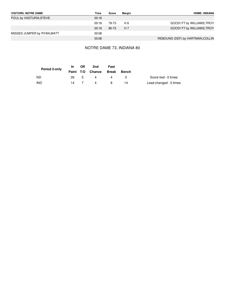| <b>VISITORS: NOTRE DAME</b> | Time  | Score | Margin | <b>HOME: INDIANA</b>             |
|-----------------------------|-------|-------|--------|----------------------------------|
| FOUL by VASTURIA, STEVE     | 00:18 |       |        |                                  |
|                             | 00:18 | 79-73 | H 6    | GOOD! FT by WILLIAMS, TROY       |
|                             | 00:18 | 80-73 | H 7    | GOOD! FT by WILLIAMS, TROY       |
| MISSED JUMPER by RYAN, MATT | 00:08 |       |        |                                  |
|                             | 00:08 |       |        | REBOUND (DEF) by HARTMAN, COLLIN |

### NOTRE DAME 73, INDIANA 80

| Period 2-only | In.       | Off | 2nd    | Fast         |              |                        |
|---------------|-----------|-----|--------|--------------|--------------|------------------------|
|               | Paint T/O |     | Chance | <b>Break</b> | <b>Bench</b> |                        |
| <b>ND</b>     | 26.       | .5  | 4      | 4            |              | Score tied - 0 times   |
| <b>IND</b>    | 14        |     | 4      | 8            | 14           | Lead changed - 0 times |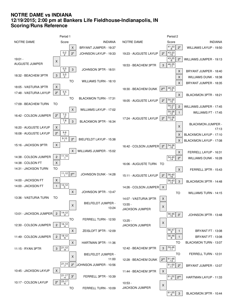# **NOTRE DAME vs INDIANA 12/19/2015; 2:00 pm at Bankers Life Fieldhouse-Indianapolis, IN Scoring/Runs Reference**

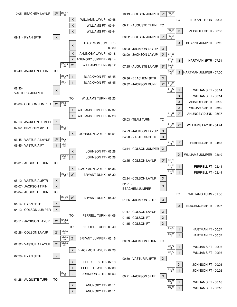